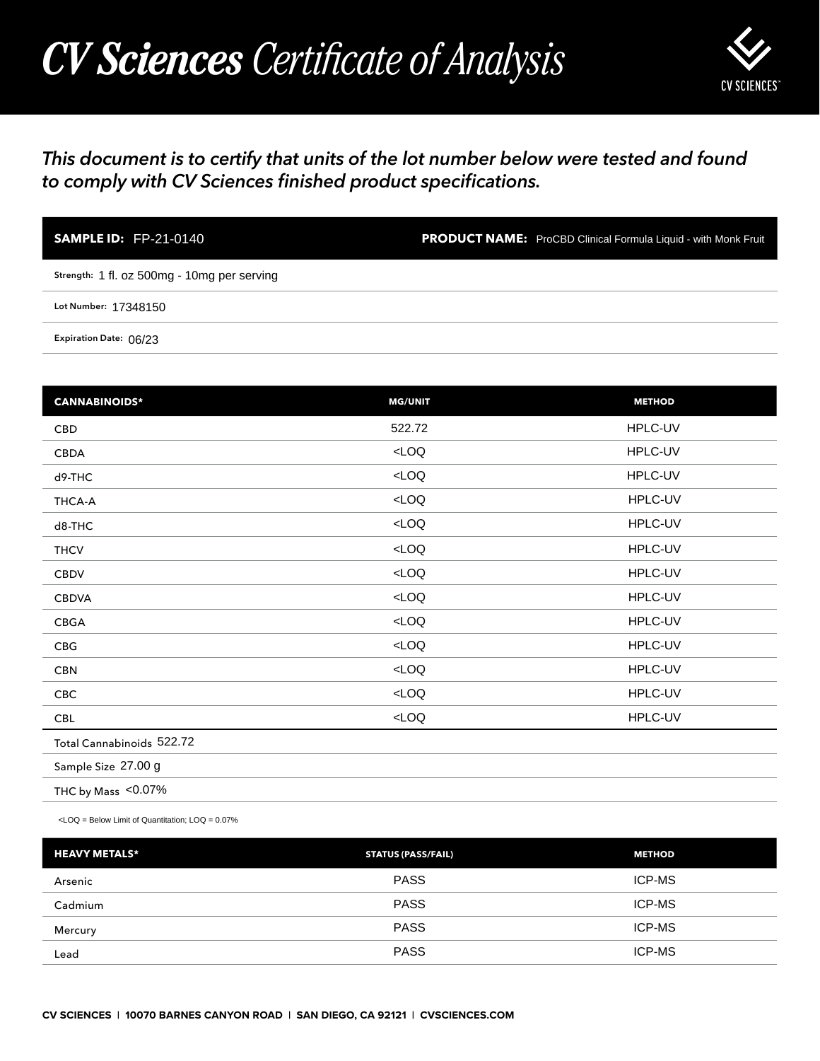## *CV Sciences Certificate of Analysis*



## *This document is to certify that units of the lot number below were tested and found to comply with CV Sciences finished product specifications.*

| <b>SAMPLE ID: FP-21-0140</b>                | <b>PRODUCT NAME:</b> ProCBD Clinical Formula Liquid - with Monk Fruit |
|---------------------------------------------|-----------------------------------------------------------------------|
| Strength: 1 fl. oz 500mg - 10mg per serving |                                                                       |
| Lot Number: 17348150                        |                                                                       |
| Expiration Date: 06/23                      |                                                                       |

| <b>SAMPLE ID: FP-21-0140</b>                                                                   |                           | <b>PRODUCT NAME:</b> ProCBD Clinical Formula Liquid - with Monk Fruit |
|------------------------------------------------------------------------------------------------|---------------------------|-----------------------------------------------------------------------|
| Strength: 1 fl. oz 500mg - 10mg per serving                                                    |                           |                                                                       |
| Lot Number: 17348150                                                                           |                           |                                                                       |
| Expiration Date: 06/23                                                                         |                           |                                                                       |
|                                                                                                |                           |                                                                       |
| <b>CANNABINOIDS*</b>                                                                           | <b>MG/UNIT</b>            | <b>METHOD</b>                                                         |
| <b>CBD</b>                                                                                     | 522.72                    | HPLC-UV                                                               |
| CBDA                                                                                           | $<$ LOQ                   | HPLC-UV                                                               |
| d9-THC                                                                                         | LOO                       | HPLC-UV                                                               |
| THCA-A                                                                                         | LOO                       | HPLC-UV                                                               |
| d8-THC                                                                                         | $<$ LOQ                   | HPLC-UV                                                               |
| <b>THCV</b>                                                                                    | LOO                       | HPLC-UV                                                               |
| <b>CBDV</b>                                                                                    | LOO                       | HPLC-UV                                                               |
| <b>CBDVA</b>                                                                                   | $<$ LOQ                   | HPLC-UV                                                               |
| CBGA                                                                                           | LOO                       | HPLC-UV                                                               |
| CBG                                                                                            | $<$ LOQ                   | HPLC-UV                                                               |
| <b>CBN</b>                                                                                     | LOO                       | HPLC-UV                                                               |
| CBC                                                                                            | LOO                       | HPLC-UV                                                               |
| CBL                                                                                            | $<$ LOQ                   | HPLC-UV                                                               |
| Total Cannabinoids 522.72                                                                      |                           |                                                                       |
| Sample Size 27.00 g                                                                            |                           |                                                                       |
| THC by Mass <0.07%                                                                             |                           |                                                                       |
| <loq =="" below="" limit="" loq="0.07%&lt;/td" of="" quantitation;=""><td></td><td></td></loq> |                           |                                                                       |
| <b>HEAVY METALS*</b>                                                                           | <b>STATUS (PASS/FAIL)</b> | <b>METHOD</b>                                                         |
| Arsenic                                                                                        | <b>PASS</b>               | ICP-MS                                                                |
| Cadmium                                                                                        | <b>PASS</b>               | ICP-MS                                                                |
| Mercury                                                                                        | <b>PASS</b>               | ICP-MS                                                                |
| Lead                                                                                           | PASS                      | ICP-MS                                                                |

| <b>HEAVY METALS*</b> | <b>STATUS (PASS/FAIL)</b> | <b>METHOD</b> |
|----------------------|---------------------------|---------------|
| Arsenic              | <b>PASS</b>               | <b>ICP-MS</b> |
| Cadmium              | <b>PASS</b>               | <b>ICP-MS</b> |
| Mercury              | <b>PASS</b>               | <b>ICP-MS</b> |
| Lead                 | <b>PASS</b>               | <b>ICP-MS</b> |